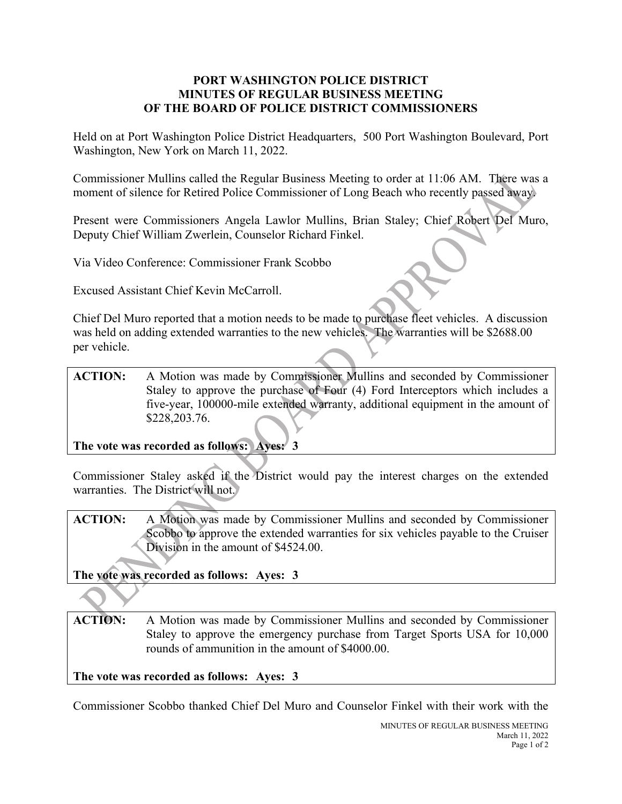## **PORT WASHINGTON POLICE DISTRICT MINUTES OF REGULAR BUSINESS MEETING OF THE BOARD OF POLICE DISTRICT COMMISSIONERS**

Held on at Port Washington Police District Headquarters, 500 Port Washington Boulevard, Port Washington, New York on March 11, 2022.

Commissioner Mullins called the Regular Business Meeting to order at 11:06 AM. There was a moment of silence for Retired Police Commissioner of Long Beach who recently passed away.

Present were Commissioners Angela Lawlor Mullins, Brian Staley; Chief Robert Del Muro, Deputy Chief William Zwerlein, Counselor Richard Finkel.

Via Video Conference: Commissioner Frank Scobbo

Excused Assistant Chief Kevin McCarroll.

Chief Del Muro reported that a motion needs to be made to purchase fleet vehicles. A discussion was held on adding extended warranties to the new vehicles. The warranties will be \$2688.00 per vehicle.

## **ACTION:** A Motion was made by Commissioner Mullins and seconded by Commissioner Staley to approve the purchase of Four (4) Ford Interceptors which includes a five-year, 100000-mile extended warranty, additional equipment in the amount of \$228,203.76.

**The vote was recorded as follows: Ayes: 3**

Commissioner Staley asked if the District would pay the interest charges on the extended warranties. The District will not.

**ACTION:** A Motion was made by Commissioner Mullins and seconded by Commissioner Scobbo to approve the extended warranties for six vehicles payable to the Cruiser Division in the amount of \$4524.00.

**The vote was recorded as follows: Ayes: 3**

**ACTION:** A Motion was made by Commissioner Mullins and seconded by Commissioner Staley to approve the emergency purchase from Target Sports USA for 10,000 rounds of ammunition in the amount of \$4000.00.

**The vote was recorded as follows: Ayes: 3**

Commissioner Scobbo thanked Chief Del Muro and Counselor Finkel with their work with the